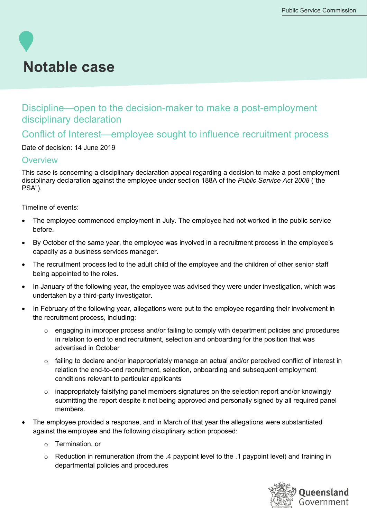# **Notable case**

## Discipline—open to the decision-maker to make a post-employment disciplinary declaration

## Conflict of Interest—employee sought to influence recruitment process

#### Date of decision: 14 June 2019

#### **Overview**

This case is concerning a disciplinary declaration appeal regarding a decision to make a post-employment disciplinary declaration against the employee under section 188A of the *Public Service Act 2008* ("the PSA").

#### Timeline of events:

- The employee commenced employment in July. The employee had not worked in the public service before.
- By October of the same year, the employee was involved in a recruitment process in the employee's capacity as a business services manager.
- The recruitment process led to the adult child of the employee and the children of other senior staff being appointed to the roles.
- In January of the following year, the employee was advised they were under investigation, which was undertaken by a third-party investigator.
- In February of the following year, allegations were put to the employee regarding their involvement in the recruitment process, including:
	- o engaging in improper process and/or failing to comply with department policies and procedures in relation to end to end recruitment, selection and onboarding for the position that was advertised in October
	- $\circ$  failing to declare and/or inappropriately manage an actual and/or perceived conflict of interest in relation the end-to-end recruitment, selection, onboarding and subsequent employment conditions relevant to particular applicants
	- $\circ$  inappropriately falsifying panel members signatures on the selection report and/or knowingly submitting the report despite it not being approved and personally signed by all required panel members.
- The employee provided a response, and in March of that year the allegations were substantiated against the employee and the following disciplinary action proposed:
	- o Termination, or
	- o Reduction in remuneration (from the .4 paypoint level to the .1 paypoint level) and training in departmental policies and procedures

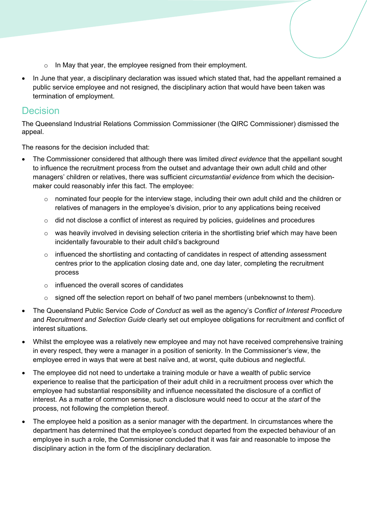- o In May that year, the employee resigned from their employment.
- In June that year, a disciplinary declaration was issued which stated that, had the appellant remained a public service employee and not resigned, the disciplinary action that would have been taken was termination of employment.

### Decision

The Queensland Industrial Relations Commission Commissioner (the QIRC Commissioner) dismissed the appeal.

The reasons for the decision included that:

- The Commissioner considered that although there was limited *direct evidence* that the appellant sought to influence the recruitment process from the outset and advantage their own adult child and other managers' children or relatives, there was sufficient *circumstantial evidence* from which the decisionmaker could reasonably infer this fact. The employee:
	- $\circ$  nominated four people for the interview stage, including their own adult child and the children or relatives of managers in the employee's division, prior to any applications being received
	- $\circ$  did not disclose a conflict of interest as required by policies, guidelines and procedures
	- $\circ$  was heavily involved in devising selection criteria in the shortlisting brief which may have been incidentally favourable to their adult child's background
	- $\circ$  influenced the shortlisting and contacting of candidates in respect of attending assessment centres prior to the application closing date and, one day later, completing the recruitment process
	- o influenced the overall scores of candidates
	- o signed off the selection report on behalf of two panel members (unbeknownst to them).
- The Queensland Public Service *Code of Conduct* as well as the agency's *Conflict of Interest Procedure*  and *Recruitment and Selection Guide* clearly set out employee obligations for recruitment and conflict of interest situations.
- Whilst the employee was a relatively new employee and may not have received comprehensive training in every respect, they were a manager in a position of seniority. In the Commissioner's view, the employee erred in ways that were at best naïve and, at worst, quite dubious and neglectful.
- The employee did not need to undertake a training module or have a wealth of public service experience to realise that the participation of their adult child in a recruitment process over which the employee had substantial responsibility and influence necessitated the disclosure of a conflict of interest. As a matter of common sense, such a disclosure would need to occur at the *start* of the process, not following the completion thereof.
- The employee held a position as a senior manager with the department. In circumstances where the department has determined that the employee's conduct departed from the expected behaviour of an employee in such a role, the Commissioner concluded that it was fair and reasonable to impose the disciplinary action in the form of the disciplinary declaration.